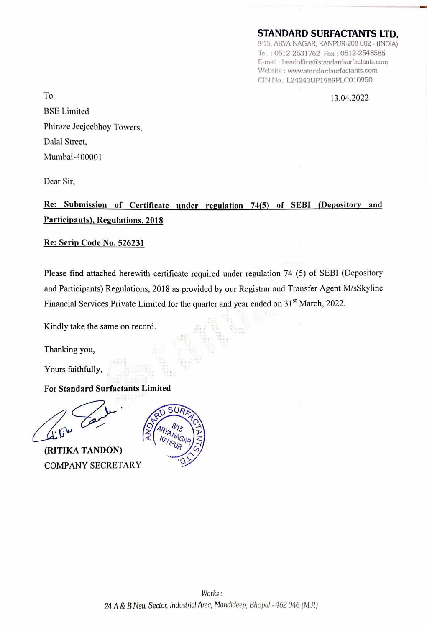## STANDARD SURFACTANTS LTD.

8/15, ARYA NAGAR, KANPUR-208 002 - (INDIA) Tel. : 0512-2531762 Fax : 0512-2548585 E-mail : headoffice@standardsurfactants.com Website : www.standardsurfactants.com CIN No.: L24243UP1989PLC010950

To 13.04.2022 BSE Limited Phiroze Jeejeebhoy Towers, Dalal Street, Mumbai-400001

Dear Sir,

Re: Submission of Certificate under regulation 74(5) of SEBI (Depository and Participants), Regulations, 2018

Re: Scrip Code No. 526231

Please find attached herewith certificate required under regulation 74 (5) of SEBI (Depository and Participants) Regulations, 2018 as provided by our Registrar and Transfer Agent M/sSkyline Financial Services Private Limited for the quarter and year ended on 31<sup>st</sup> March, 2022.

Kindly take the same on record.

Thanking you,

Yours faithfully,

For Standard Surfactants Limited

(RITIKA TANDON) COMPANY SECRETARY